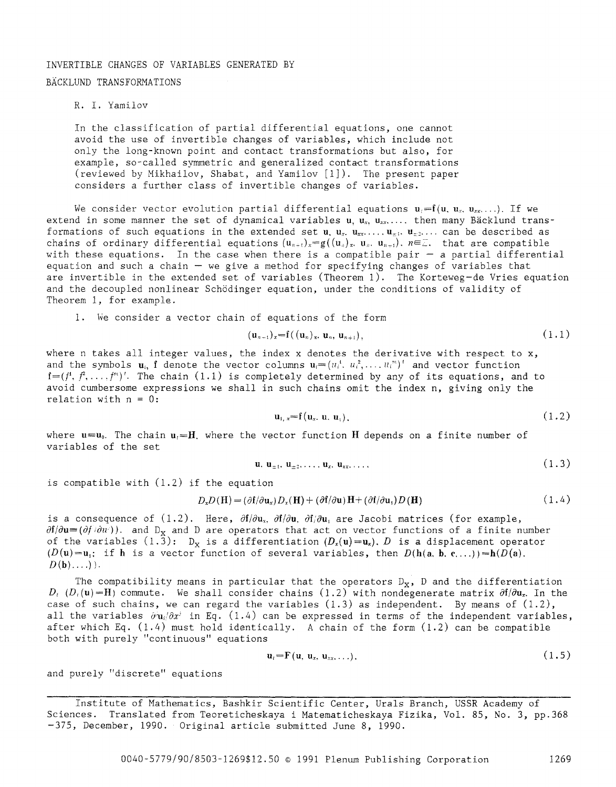# INVERTIBLE CHANGES OF VARIABLES GENERATED BY

## BACKLUND TRANSFORMATIONS

## R. I. Yamilov

In the classification of partial differential equations, one cannot avoid the use of invertible changes of variables, which include not only the long-known point and contact transformations but also, for example, so-called symmetric and generalized contact transformations (reviewed by Mikhailov, Shabat, and Yamilov [i]). The present paper considers a further class of invertible changes of variables.

We consider vector evolution partial differential equations  $u_i=f(u, u_x, u_{xx} \ldots)$ . If we extend in some manner the set of dynamical variables  $u, u_x, u_{xx}, \ldots$  then many Bäcklund transformations of such equations in the extended set u.  $u_x$ .  $u_x$ .....  $u_z$ .... can be described as chains of ordinary differential equations  $(u_{n+1})_{x} = g((u_{n})_{x}, u_{n}, u_{n+1})$ ,  $n \in \mathbb{Z}$ . that are compatible with these equations. In the case when there is a compatible pair  $-$  a partial differential equation and such a chain  $-$  we give a method for specifying changes of variables that are invertible in the extended set of variables (Theorem I). The Korteweg-de Vries equation and the decoupled nonlinear Schödinger equation, under the conditions of validity of Theorem i, for example.

i. We consider a vector chain of equations of the form

$$
(\mathbf{u}_{n+1})_{\mathbf{x}} = \mathbf{f}((\mathbf{u}_n)_{\mathbf{x}}, \mathbf{u}_n, \mathbf{u}_{n+1}), \qquad (1.1)
$$

where n takes all integer values, the index  $x$  denotes the derivative with respect to  $x$ , and the symbols  $\mathbf{u}_i$ , f denote the vector columns  $\mathbf{u}_i=(u_i^i, u_i^2, \dots, u_i^m)^t$  and vector function  $f=(f^1, f^2, \ldots, f^n)^t$ . The chain (1.1) is completely determined by any of its equations, and to avoid cumbersome expressions we shall in such chains omit the index n, giving only the relation with  $n = 0$ :

$$
\mathbf{u}_{1,\,x} = \mathbf{f}(\mathbf{u}_{x},\,\mathbf{u},\,\mathbf{u}_{1}),\tag{1.2}
$$

where  $u=u_0$ . The chain  $u_t=H$ , where the vector function H depends on a finite number of variables of the set

$$
\mathbf{u}, \mathbf{u}_{\pm 1}, \mathbf{u}_{\pm 2}, \ldots, \mathbf{u}_{x}, \mathbf{u}_{xx}, \ldots, \tag{1.3}
$$

is compatible with (1.2) if the equation

$$
D_x D(\mathbf{H}) = (\partial \mathbf{f}/\partial \mathbf{u}_x) D_x(\mathbf{H}) + (\partial \mathbf{f}/\partial \mathbf{u}) \mathbf{H} + (\partial \mathbf{f}/\partial \mathbf{u}_x) D(\mathbf{H})
$$
\n(1.4)

is a consequence of (1.2). Here,  $\partial f/\partial u_x$ .  $\partial f/\partial u_y$  are Jacobi matrices (for example,  $\partial f/\partial u = (\partial f/\partial u^{\cdot})$ . and D<sub>x</sub> and D are operators that act on vector functions of a finite number of the variables  $(1.\overline{3})$ :  $D_x$  is a differentiation  $(D_x(u)=u_x)$ .  $D$  is a displacement operator  $(D(u)=u_i$ : if h is a vector function of several variables, then  $D(h(a, b, c, \ldots))=h(D(a),$ D(b) .... )).

The compatibility means in particular that the operators  $D_x$ , D and the differentiation  $D_t$  ( $D_t$ (u)=H) commute. We shall consider chains (1.2) with nondegenerate matrix  $\partial f/\partial u_x$ . In the case of such chains, we can regard the variables  $(1.3)$  as independent. By means of  $(1.2)$ , all the variables  $\partial u_i/\partial x^i$  in Eq.  $(1.4)$  can be expressed in terms of the independent variables, after which Eq. (1.4) must hold identically. A chain of the form (1.2) can be compatible both with purely "continuous" equations

$$
\mathbf{u}_i = \mathbf{F}(\mathbf{u}, \mathbf{u}_x, \mathbf{u}_{xx}, \ldots). \tag{1.5}
$$

and purely "discrete" equations

Institute of Mathematics, Bashkir Scientific Center, Urals Branch, USSR Academy of Sciences. Translated from Teoreticheskaya i Matematicheskaya Fizika, Vol. 85, No. 3, pp.368 -375, December, 1990. Original article submitted June 8, 1990.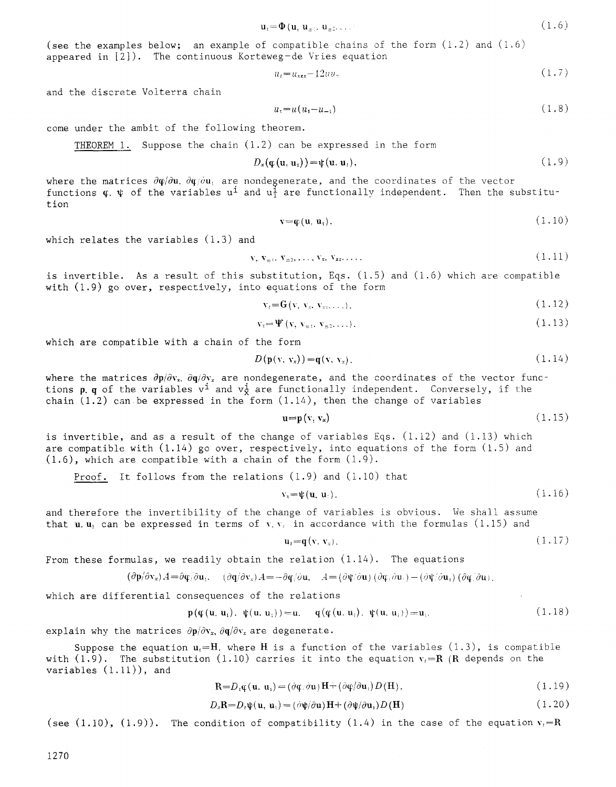$$
\mathbf{u}_{\mathfrak{r}} = \mathbf{\Phi}(\mathbf{u}, \mathbf{u}_{\mathfrak{r}}, \mathbf{u}_{\mathfrak{r}}, \dots) \tag{1.6}
$$

(see the examples below; an example of compatible chains of the form (1.2) and (1.6) appeared in [2]). The continuous Korteweg-de Vries equation

$$
u_t = u_{xxx} - 12uu_x \tag{1.7}
$$

and the discrete Volterra chain

$$
u_t = u(u_t - u_{-t}) \tag{1.8}
$$

come under the ambit of the following theorem.

THEOREM 1. Suppose the chain  $(1.2)$  can be expressed in the form

$$
D_{x}(\varphi(\mathbf{u},\mathbf{u}_{1}))=\psi(\mathbf{u},\mathbf{u}_{1}), \qquad (1.9)
$$

where the matrices  $\partial \varphi / \partial u$ .  $\partial \varphi / \partial u$ , are nondegenerate, and the coordinates of the vector functions  $\varphi$ .  $\psi$  of the variables u<sup>i</sup> and u<sup>i</sup> are functionally independent. Then the substitution

$$
\mathbf{v} = \mathbf{\varphi}(\mathbf{u}, \mathbf{u}_1). \tag{1.10}
$$

which relates the variables (1.3) and

$$
\mathbf{v}, \mathbf{v}_{\pm 1}, \mathbf{v}_{\pm 2}, \dots, \mathbf{v}_{\mathbf{x}}, \mathbf{v}_{\mathbf{x}\mathbf{x}}, \dots \tag{1.11}
$$

is invertible. As a result of this substitution, Eqs. (1.5) and (1.6) which are compatible with (1.9) go over, respectively, into equations of the form

$$
\mathbf{v}_t = \mathbf{G}(\mathbf{v}, \mathbf{v}_x, \mathbf{v}_{\text{xx}}, \ldots). \tag{1.12}
$$

$$
\mathbf{v}_{\tau} = \Psi(\mathbf{v}, \mathbf{v}_{\tau}, \mathbf{v}_{\tau^2}, \dots). \tag{1.13}
$$

which are compatible with a chain of the form

$$
D(\mathbf{p}(\mathbf{v}, \mathbf{v}_x)) = \mathbf{q}(\mathbf{v}, \mathbf{v}_x). \tag{1.14}
$$

where the matrices  $\partial p/\partial v_x$ .  $\partial q/\partial v_x$  are nondegenerate, and the coordinates of the vector functions p. q of the variables v<sup>i</sup> and  $v_{\overline{x}}^i$  are functionally independent. Conversely, if the chain  $(1.2)$  can be expressed in the form  $(1.14)$ , then the change of variables

$$
\mathbf{u} = \mathbf{p}(\mathbf{v}, \mathbf{v}_z) \tag{1.15}
$$

is invertible, and as a result of the change of variables Eqs.  $(1.12)$  and  $(1.13)$  which are compatible with  $(1.14)$  go over, respectively, into equations of the form  $(1.5)$  and (1.6), which are compatible with a chain of the form (1.9).

Proof. It follows from the relations  $(1.9)$  and  $(1.10)$  that

$$
\mathbf{v}_x = \psi(\mathbf{u}, \mathbf{u}_t). \tag{1.16}
$$

and therefore the invertibility of the change of variables is obvious. We shall assume that u.u<sub>i</sub> can be expressed in terms of v,  $v_x$  in accordance with the formulas (1.15) and

$$
\mathbf{u}_i = \mathbf{q}(\mathbf{v}, \mathbf{v}_x). \tag{1.17}
$$

From these formulas, we readily obtain the relation  $(1.14)$ . The equations

$$
(\partial \mathbf{p}/\partial \mathbf{v}_*)A = \partial \mathbf{q}/\partial \mathbf{u}_1. \quad (\partial \mathbf{q}/\partial \mathbf{v}_*)A = -\partial \mathbf{q}/\partial \mathbf{u}, \quad A = (\partial \mathbf{\psi}/\partial \mathbf{u}) (\partial \mathbf{q}/\partial \mathbf{u}_1) - (\partial \mathbf{\psi}/\partial \mathbf{u}_1) (\partial \mathbf{q}/\partial \mathbf{u}_1)
$$

which are differential consequences of the relations

$$
\mathbf{p}(\mathbf{\varphi}(\mathbf{u}, \mathbf{u}_i), \mathbf{\psi}(\mathbf{u}, \mathbf{u}_i)) = \mathbf{u}, \quad \mathbf{q}(\mathbf{\varphi}(\mathbf{u}, \mathbf{u}_i), \mathbf{\psi}(\mathbf{u}, \mathbf{u}_i)) = \mathbf{u}_i.
$$
 (1.18)

explain why the matrices  $\partial \mathbf{p}/\partial \mathbf{v}_x$ ,  $\partial \mathbf{q}/\partial \mathbf{v}_x$  are degenerate.

Suppose the equation  $u_t=H$ . where H is a function of the variables (1.3), is compatible with (1.9). The substitution (1.10) carries it into the equation  $v_f=R$  (R depends on the variables  $(1.11)$ ), and

$$
\mathbf{R} = D_i \mathbf{\mathfrak{q}}(\mathbf{u}, \mathbf{u}_i) = (\partial \mathbf{\mathfrak{q}}/\partial \mathbf{u}) \mathbf{H} + (\partial \mathbf{\mathfrak{q}}/\partial \mathbf{u}_i) D(\mathbf{H}), \qquad (1.19)
$$

$$
D_x \mathbf{R} = D_t \psi(\mathbf{u}, \mathbf{u}_1) = (\partial \psi/\partial \mathbf{u}) \mathbf{H} + (\partial \psi/\partial \mathbf{u}_1) D(\mathbf{H})
$$
\n(1.20)

(see  $(1.10)$ ,  $(1.9)$ ). The condition of compatibility  $(1.4)$  in the case of the equation  $v_i=R$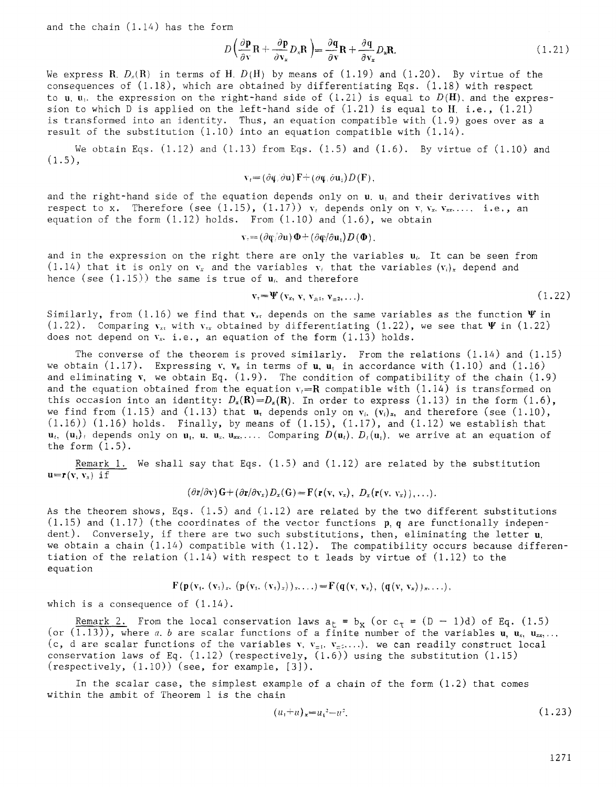and the chain (1.14) has the form

$$
D\left(\frac{\partial \mathbf{p}}{\partial \mathbf{v}}\mathbf{R} + \frac{\partial \mathbf{p}}{\partial \mathbf{v}_x}D_x\mathbf{R}\right) = \frac{\partial \mathbf{q}}{\partial \mathbf{v}}\mathbf{R} + \frac{\partial \mathbf{q}}{\partial \mathbf{v}_x}D_x\mathbf{R}.
$$
 (1.21)

We express R.  $D_x(R)$  in terms of H.  $D(H)$  by means of  $(1.19)$  and  $(1.20)$ . By virtue of the consequences of  $(1.18)$ , which are obtained by differentiating Eqs.  $(1.18)$  with respect to u, u<sub>i</sub>. the expression on the right-hand side of  $(1.21)$  is equal to  $D(H)$ , and the expression to which D is applied on the left-hand side of  $(1.21)$  is equal to H. i.e.,  $(1.21)$ is transformed into an identity. Thus, an equation compatible with (1.9) goes over as a result of the substitution  $(1.10)$  into an equation compatible with  $(1.14)$ .

We obtain Eqs.  $(1.12)$  and  $(1.13)$  from Eqs.  $(1.5)$  and  $(1.6)$ . By virtue of  $(1.10)$  and  $(1.5),$ 

$$
\mathbf{v}_t = (\partial \mathbf{\phi}/\partial \mathbf{u}) \mathbf{F} + (\partial \mathbf{\phi}/\partial \mathbf{u}_t) D(\mathbf{F}),
$$

and the right-hand side of the equation depends only on  $u_i$ ,  $u_i$  and their derivatives with respect to x. Therefore (see (1.15), (1.17))  $v_t$  depends only on v,  $v_x$ ,  $v_{xx}$ ,.... i.e., an equation of the form  $(1.12)$  holds. From  $(1.10)$  and  $(1.6)$ , we obtain

$$
\mathbf{v}_{\tau} = (\partial \mathbf{\phi}/\partial \mathbf{u}) \, \mathbf{\Phi} + (\partial \mathbf{\phi}/\partial \mathbf{u}_{\tau}) D(\mathbf{\Phi}).
$$

and in the expression on the right there are only the variables  $\mathbf{u}_{i}$ . It can be seen from (1.14) that it is only on  $v_x$  and the variables  $v_i$  that the variables  $(v_i)_x$  depend and hence (see  $(1.15)$ ) the same is true of  $\mathbf{u}_i$  and therefore

$$
\mathbf{v}_{\tau} = \Psi(\mathbf{v}_{x}, \mathbf{v}, \mathbf{v}_{\pm 1}, \mathbf{v}_{\pm 2}, \ldots). \tag{1.22}
$$

Similarly, from (1.16) we find that  $v_{\rm st}$  depends on the same variables as the function  $\Psi$  in (1.22). Comparing  $v_{xx}$  with  $v_{xx}$  obtained by differentiating (1.22), we see that  $\Psi$  in (1.22) does not depend on  $v_x$ . i.e., an equation of the form  $(1.13)$  holds.

The converse of the theorem is proved similarly. From the relations (1.14) and (1.15) we obtain  $(1.17)$ . Expressing v, v<sub>x</sub> in terms of u, u<sub>i</sub> in accordance with  $(1.10)$  and  $(1.16)$ and eliminating  $v$ , we obtain Eq.  $(1.9)$ . The condition of compatibility of the chain  $(1.9)$ and the equation obtained from the equation  $v<sub>i</sub>=R$  compatible with (1.14) is transformed on this occasion into an identity:  $D_x(\mathbf{R})=D_x(\mathbf{R})$ . In order to express (1.13) in the form (1.6), we find from (1.15) and (1.13) that  $u_t$  depends only on  $v_i$ .  $(v_i)_x$ , and therefore (see (1.10),  $(1.16)$ )  $(1.16)$  holds. Finally, by means of  $(1.15)$ ,  $(1.17)$ , and  $(1.12)$  we establish that  $\mathbf{u}_t$ ,  $(\mathbf{u}_t)_t$  depends only on  $\mathbf{u}_1$ ,  $\mathbf{u}_1$ ,  $\mathbf{u}_2$ ,  $\mathbf{u}_{xx}$ ,..... Comparing  $D(\mathbf{u}_t)$ .  $D_t(\mathbf{u}_1)$ . we arrive at an equation of the form  $(1.5)$ .

Remark i. We shall say that Eqs. (1.5) and (1.12) are related by the substitution  $u=r(v, v_x)$  if

$$
(\partial \mathbf{r}/\partial \mathbf{v})\mathbf{G} + (\partial \mathbf{r}/\partial \mathbf{v}_x)D_{x}(\mathbf{G}) = \mathbf{F}(\mathbf{r}(\mathbf{v}, \mathbf{v}_x), D_{x}(\mathbf{r}(\mathbf{v}, \mathbf{v}_x)), \ldots).
$$

As the theorem shows, Eqs. (1.5) and (1.12) are related by the two different substitutions  $(1.15)$  and  $(1.17)$  (the coordinates of the vector functions p, q are functionally independent). Conversely, if there are two such substitutions, then, eliminating the letter u. we obtain a chain (1.14) compatible with (1.12). The compatibility occurs because differentiation of the relation (1.14) with respect to t leads by virtue of (1.12) to the equation

$$
F(p(v_1, (v_1)_x, (p(v_1, (v_1)_x))_x, \ldots) = F(q(v, v_x), (q(v, v_x))_x, \ldots),
$$

which is a consequence of  $(1.14)$ .

Remark 2. From the local conservation laws  $a_t = b_x$  (or  $c_\tau = (D - 1)d$ ) of Eq. (1.5) (or (1.13)), where a, b are scalar functions of a finite number of the variables  $u, u_x, u_{xx}$ ... (c, d are scalar functions of the variables v.  $v_{\pm i}$ .  $v_{\pm 2}$ ....). we can readily construct local conservation laws of Eq.  $(1.12)$  (respectively,  $(1.6)$ ) using the substitution  $(1.15)$  $(respectively, (1.10))$  (see, for example,  $[3]$ ).

In the scalar case, the simplest example of a chain of the form  $(1.2)$  that comes within the ambit of Theorem 1 is the chain

$$
(u_1 + u)_{x} = u_1^2 - u^2. \tag{1.23}
$$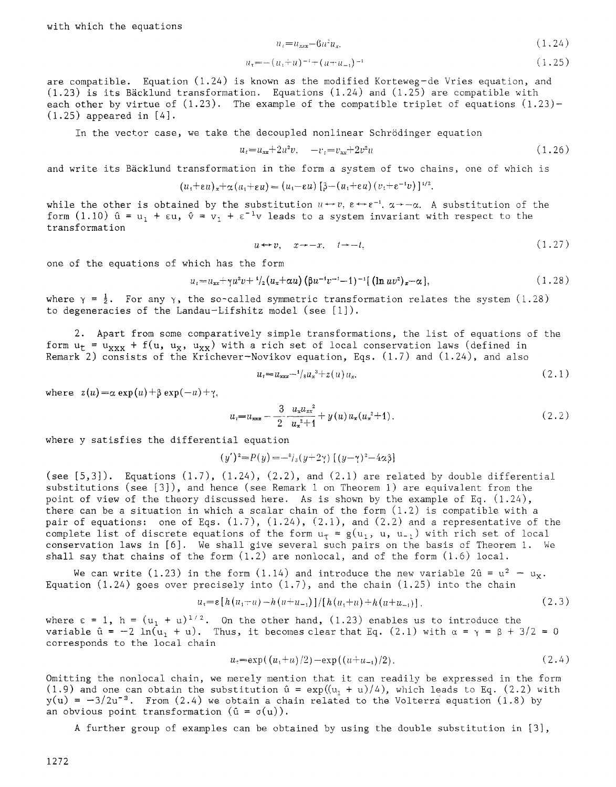$$
u_i = u_{xxx} - 6u^2 u_x,\tag{1.24}
$$

$$
u_{x} = -(u_{1} + u)^{-1} + (u + u_{-1})^{-1}
$$
\n(1.25)

are compatible. Equation (1.24) is known as the modified Korteweg-de Vries equation, and  $(1.23)$  is its Bäcklund transformation. Equations  $(1.24)$  and  $(1.25)$  are compatible with each other by virtue of  $(1.23)$ . The example of the compatible triplet of equations  $(1.23)$ - $(1.25)$  appeared in  $[4]$ .

In the vector case, we take the decoupled nonlinear Schr6dinger equation

$$
u_t = u_{xx} + 2u^2v, \quad -v_t = v_{xx} + 2v^2u \tag{1.26}
$$

and write its Bäcklund transformation in the form a system of two chains, one of which is

$$
(u_1+\varepsilon u)_x+\alpha (u_1+\varepsilon u)=(u_1-\varepsilon u)\left[\beta-(u_1+\varepsilon u)(v_1+\varepsilon^{-1}v)\right]^{1/2}.
$$

while the other is obtained by the substitution  $u \leftrightarrow v$ ,  $\varepsilon \leftrightarrow \varepsilon^{-1}$ ,  $\alpha \rightarrow -\alpha$ . A substitution of the form (1.10)  $\hat{u} = u_1 + \epsilon u$ ,  $\hat{v} = v_1 + \epsilon^{-1}v$  leads to a system invariant with respect to the transformation

$$
u \leftrightarrow v, \quad x \to -x, \quad t \to -t,\tag{1.27}
$$

one of the equations of which has the form

$$
u_t = u_{xx} + \gamma u^2 v + \frac{1}{2} (u_x + \alpha u) (\beta u^{-1} v^{-1} - 1)^{-1} [(\ln u v^2)_x - \alpha], \qquad (1.28)
$$

where  $\gamma = \frac{1}{2}$ . For any  $\gamma$ , the so-called symmetric transformation relates the system (1.28) to degeneracies of the Landau-Lifshitz model (see [1]).

. Apart from some comparatively simple transformations, the list of equations of the form  $u_t = u_{xxx} + f(u, u_x, u_{xx})$  with a rich set of local conservation laws (defined in Remark 2) consists of the Krichever-Novikov equation, Eqs.  $(1.7)$  and  $(1.24)$ , and also

$$
u_t = u_{xxx} - \frac{1}{8} u_x^3 + z(u) u_x. \tag{2.1}
$$

where  $z(u) = \alpha \exp(u) + \beta \exp(-u) + \gamma$ ,

$$
u_{i} = u_{xxx} - \frac{3}{2} \frac{u_{x} u_{xx}^{2}}{u_{x}^{2} + 1} + y(u) u_{x}(u_{x}^{2} + 1),
$$
\n(2.2)

where y satisfies the differential equation

$$
(y')^{2} = P(y) = -\frac{s}{s}(y+2\gamma) \left[ (y-\gamma)^{2} - 4\alpha \beta \right]
$$

(see  $[5,3]$ ). Equations  $(1.7)$ ,  $(1.24)$ ,  $(2.2)$ , and  $(2.1)$  are related by double differential substitutions (see [3]), and hence (see Remark 1 on Theorem i) are equivalent from the point of view of the theory discussed here. As is shown by the example of Eq. (1.24), there can be a situation in which a scalar chain of the form  $(1.2)$  is compatible with a pair of equations: one of Eqs.  $(1.7)$ ,  $(1.24)$ ,  $(2.1)$ , and  $(2.2)$  and a representative of the complete list of discrete equations of the form  $u_{\tau} = g(u_1, u, u_1)$  with rich set of local conservation laws in [6]. We shall give several such pairs on the basis of Theorem i. We shall say that chains of the form  $(1.2)$  are nonlocal, and of the form  $(1.6)$  local.

We can write (1.23) in the form (1.14) and introduce the new variable  $2\hat{u} = u^2 - u_x$ . Equation (1.24) goes over precisely into  $(1,7)$ , and the chain  $(1,25)$  into the chain

$$
u_{\tau} = \varepsilon \left[ h(u_1 + u) - h(u + u_{-1}) \right] / \left[ h(u_1 + u) + h(u + u_{-1}) \right]. \tag{2.3}
$$

where  $\varepsilon = 1$ ,  $h = (u_1 + u)^{1/2}$ . On the other hand, (1.23) enables us to introduce the variable  $\hat{u} = -2 \ln(u_1 + u)$ . Thus, it becomes clear that Eq. (2.1) with  $\alpha = \gamma = \beta + 3/2 = 0$ corresponds to the local chain

$$
u_{\tau} = \exp((u_1 + u)/2) - \exp((u + u_{-1})/2). \tag{2.4}
$$

Omitting the nonlocal chain, we merely mention that it can readily be expressed in the form (1.9) and one can obtain the substitution  $\hat{u} = \exp((u_1 + u)/4)$ , which leads to Eq. (2.2) with  $y(u) = -3/2u^{-3}$ . From (2.4) we obtain a chain related to the Volterra equation (1.8) by an obvious point transformation  $(\hat{u} = \sigma(u))$ .

A further group of examples can be obtained by using the double substitution in [3],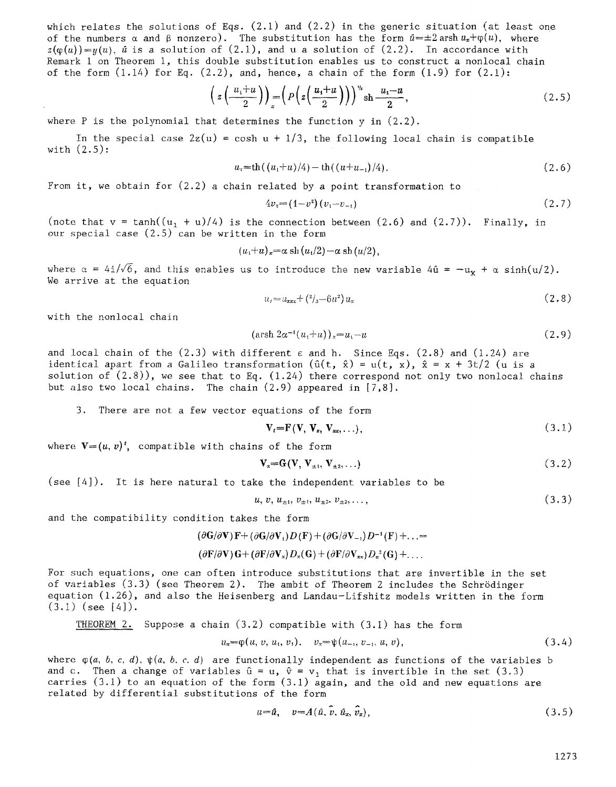which relates the solutions of Eqs.  $(2.1)$  and  $(2.2)$  in the generic situation (at least one of the numbers  $\alpha$  and  $\beta$  nonzero). The substitution has the form  $\hat{u}=\pm 2$  arsh  $u_x+\varphi(u)$ , where  $z(\varphi(u))=u(u)$ ,  $\hat{u}$  is a solution of  $(2.1)$ , and u a solution of  $(2.2)$ . In accordance with Remark 1 on Theorem i, this double substitution enables us to construct a nonlocal chain of the form  $(1.14)$  for Eq.  $(2.2)$ , and, hence, a chain of the form  $(1.9)$  for  $(2.1)$ :

$$
\left(z\left(\frac{u_1+u}{2}\right)\right)_x = \left(P\left(z\left(\frac{u_1+u}{2}\right)\right)\right)^{\nu_1} \operatorname{sh} \frac{u_1-u}{2},\tag{2.5}
$$

where  $P$  is the polynomial that determines the function  $y$  in  $(2.2)$ .

In the special case  $2z(u) = \cosh u + 1/3$ , the following local chain is compatible with (2.5):

$$
u_{\tau} = \text{th}((u_1 + u)/4) - \text{th}((u + u_{-1})/4). \tag{2.6}
$$

From it, we obtain for (2.2) a chain related by a point transformation to

$$
4v_{\tau} = (1 - v^2)(v_1 - v_{-1})\tag{2.7}
$$

(note that  $\mathrm{v}$  = tanh(( $\mathrm{u_1}$  +  $\mathrm{u})/4$ ) is the connection between (2.6) and (2.7)). Finally, in our special case (2.5) can be written in the form

$$
(u_1+u)_x=\alpha \,\operatorname{sh}\,(u_1/2)-\alpha \,\operatorname{sh}\,(u/2),
$$

where  $\alpha = 4i/\sqrt{6}$ , and this enables us to introduce the new variable  $4\hat{u} = -u_x + \alpha \sinh(u/2)$ . We arrive at the equation

$$
u_t = u_{xxx} + \left(\frac{2}{3} - 6u^2\right)u_x\tag{2.8}
$$

with the nonlocal chain

$$
(\operatorname{arsh} 2\alpha^{-1}(u_1+u))_x=u_1-u \tag{2.9}
$$

and local chain of the  $(2.3)$  with different  $\varepsilon$  and h. Since Eqs.  $(2.8)$  and  $(1.24)$  are identical apart from a Galileo transformation  $(\hat{u}(t, \hat{x}) = u(t, x), \hat{x} = x + 3t/2$  (u is a solution of  $(2.8)$ , we see that to Eq.  $(1.24)$  there correspond not only two nonlocal chains but also two local chains. The chain (2.9) appeared in [7,8].

3. There are not a few vector equations of the form

$$
\mathbf{V}_t = \mathbf{F}(\mathbf{V}, \mathbf{V}_x, \mathbf{V}_{xx}, \ldots), \tag{3.1}
$$

where  $V=(u, v)^t$ , compatible with chains of the form

$$
\mathbf{V}_{\mathbf{x}} = \mathbf{G}(\mathbf{V}, \mathbf{V}_{\pm 1}, \mathbf{V}_{\pm 2}, \ldots) \tag{3.2}
$$

(see [4]). It is here natural to take the independent variables to be

$$
u, v, u_{\pm 1}, v_{\pm 1}, u_{\pm 2}, v_{\pm 2}, \ldots,
$$
\n
$$
(3.3)
$$

and the compatibility condition takes the form

$$
(\partial \mathbf{G}/\partial \mathbf{V})\mathbf{F} + (\partial \mathbf{G}/\partial \mathbf{V}_1)D(\mathbf{F}) + (\partial \mathbf{G}/\partial \mathbf{V}_{-1})D^{-1}(\mathbf{F}) + \ldots =
$$

## $(\partial \mathbf{F}/\partial \mathbf{V}) \mathbf{G} + (\partial \mathbf{F}/\partial \mathbf{V}_x) D_x(\mathbf{G}) + (\partial \mathbf{F}/\partial \mathbf{V}_{xx}) D_x^2(\mathbf{G}) + \dots$

For such equations, one can often introduce substitutions that are invertible in the set of variables (3.3) (see Theorem 2). The ambit of Theorem 2 includes the Schrödinger equation (1.26), and also the Heisenberg and Landau-Lifshitz models written in the form  $(3.1)$  (see [4]).

THEOREM 2. Suppose a chain (3.2) compatible with (3.1) has the form

$$
u_{x} = \varphi(u, v, u_1, v_1), \quad v_x = \psi(u_{-1}, v_{-1}, u, v), \tag{3.4}
$$

where  $\varphi(a, b, c, d)$ ,  $\psi(a, b, c, d)$  are functionally independent as functions of the variables b and c. Then a change of variables  $\hat{u} = u$ ,  $\hat{v} = v_1$  that is invertible in the set (3.3) carries  $(3.1)$  to an equation of the form  $(3.1)$  again, and the old and new equations are related by differential substitutions of the form

$$
u=\hat{u}, \quad v=A(\hat{u}, v, \hat{u}_x, v_x), \tag{3.5}
$$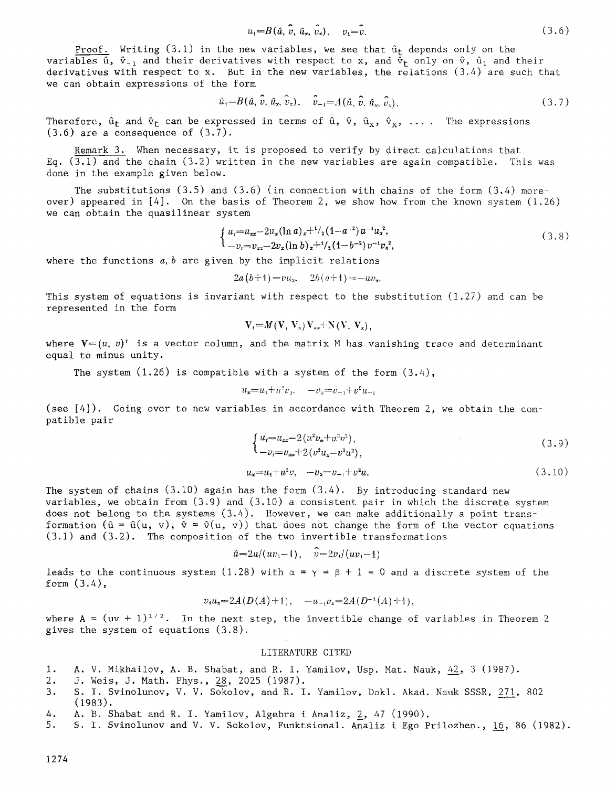$$
u_i = B(\hat{u}, \hat{v}, \hat{u}_x, \hat{v}_x), \quad v_i = \hat{v}.
$$
\n(3.6)

Proof. Writing (3.1) in the new variables, we see that  $\hat{u}_t$  depends only on the variables  $\hat{u}$ ,  $\hat{v}_{-1}$  and their derivatives with respect to x, and  $\tilde{\Phi}_t$  only on  $\hat{v}$ ,  $\hat{u}_1$  and their derivatives with respect to x. But in the new variables, the relations  $(3.4)$  are such that we can obtain expressions of the form

$$
\hat{u}_1 = B(\hat{u}, \hat{v}, \hat{u}_x, \hat{v}_x), \quad \hat{v}_{-1} = A(\hat{u}, \hat{v}, \hat{u}_x, \hat{v}_x).
$$
\n(3.7)

Therefore,  $\hat{u}_t$  and  $\hat{v}_t$  can be expressed in terms of  $\hat{u}$ ,  $\hat{v}$ ,  $\hat{u}_x$ ,  $\hat{v}_x$ , .... The expressions  $(3.6)$  are a consequence of  $(3.7)$ .

Remark 3. When necessary, it is proposed to verify by direct calculations that Eq.  $(3.1)$  and the chain (3.2) written in the new variables are again compatible. This was done in the example given below.

The substitutions  $(3.5)$  and  $(3.6)$  (in connection with chains of the form  $(3.4)$  moreover) appeared in  $[4]$ . On the basis of Theorem 2, we show how from the known system  $(1.26)$ we can obtain the quasilinear system

$$
\begin{cases}\n u_i = u_{xx} - 2u_x (\ln a)_x + \frac{1}{2} (1 - a^{-2}) u^{-1} u_x^2, \\
-v_i = v_{xx} - 2v_x (\ln b)_x + \frac{1}{2} (1 - b^{-2}) v^{-1} v_x^2,\n\end{cases} \tag{3.8}
$$

where the functions *a,b* are given by the implicit relations

$$
2a(b+1)=vu_x
$$
,  $2b(a+1)=-uv_x$ .

This system of equations is invariant with respect to the substitution  $(1.27)$  and can be represented in the form

$$
\mathbf{V}_t = M(\mathbf{V}, \mathbf{V}_x) \mathbf{V}_{xx} + \mathbf{N}(\mathbf{V}, \mathbf{V}_x),
$$

where  $V=(u, v)^t$  is a vector column, and the matrix M has vanishing trace and determinant equal to minus unity.

The system  $(1.26)$  is compatible with a system of the form  $(3.4)$ ,

$$
u_x = u_1 + u^2 v_1, \quad -v_x = v_{-1} + v^2 u_{-1}
$$

(see [4]). Going over to new variables in accordance with Theorem 2, we obtain the compatible pair

$$
\begin{cases} u_t = u_{xx} - 2(u^2 v_x + u^3 v^2), \\ -v_t = v_{xx} + 2(v^2 u_x - v^3 u^2), \end{cases} \tag{3.9}
$$

$$
u_x = u_1 + u^2 v, \quad -v_x = v_{-1} + v^2 u. \tag{3.10}
$$

The system of chains  $(3.10)$  again has the form  $(3.4)$ . By introducing standard new variables, we obtain from  $(3.9)$  and  $(3.10)$  a consistent pair in which the discrete system does not belong to the systems  $(3.4)$ . However, we can make additionally a point transformation  $(\hat{u} = \hat{u}(u, v), \hat{v} = \hat{v}(u, v))$  that does not change the form of the vector equations (3.1) and (3.2). The composition of the two invertible transformations

$$
\hat{u} = 2u/(uv_1-1), \quad \hat{v} = 2v_1/(uv_1-1)
$$

leads to the continuous system (1.28) with  $\alpha = \gamma = \beta + 1 = 0$  and a discrete system of the form (3.4),

$$
v_1u_x=2A(D(A)+1), \quad -u_{-1}v_x=2A(D^{-1}(A)+1),
$$

where A =  $(uv + 1)^{1/2}$ . In the next step, the invertible change of variables in Theorem 2 gives the system of equations (3.8).

#### LITERATURE CITED

- 1. A. V. Mikhailov, A. B. Shabat, and R. I. Yamilov, Usp. Mat. Nauk, 42, 3 (1987).
- 2. J. Weis, J. Math. Phys., 28, 2025 (1987).
- 3. S. I. Svinolunov, V. V. Sokolov, and R. I. Yamilov, Dokl. Akad. Nauk SSSR, 271, 802 (1983).
- 4. A. B. Shabat and R. I. Yamilov, Algebra i Analiz,  $2$ , 47 (1990).
- 5. S. I. Svinolunov and V. V. Sokolov, Funktsional. Analiz i Ego Prilozhen., 16, 86 (1982).